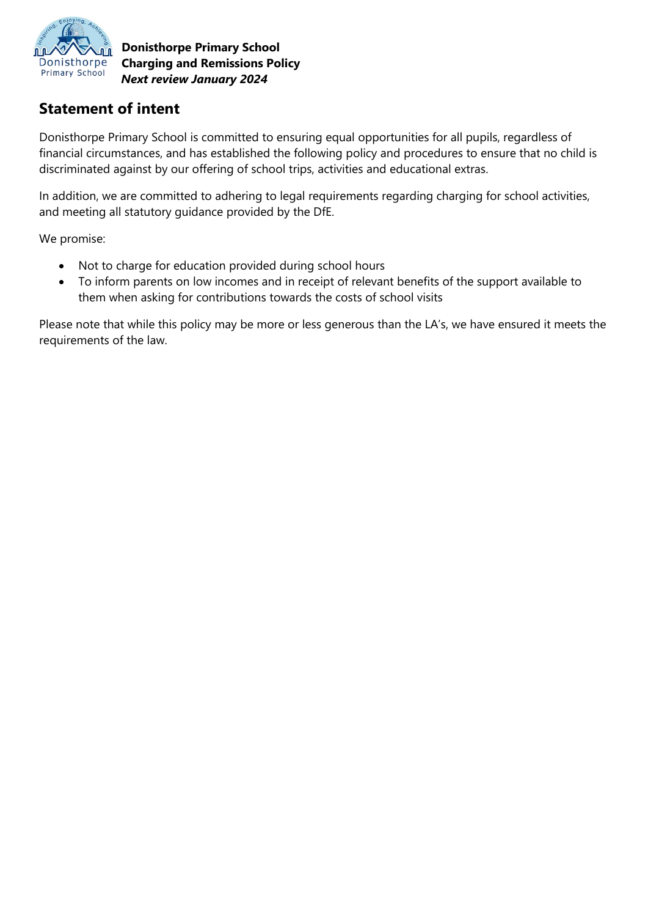

**Donisthorpe Primary School Charging and Remissions Policy**  *Next review January 2024*

### **Statement of intent**

Donisthorpe Primary School is committed to ensuring equal opportunities for all pupils, regardless of financial circumstances, and has established the following policy and procedures to ensure that no child is discriminated against by our offering of school trips, activities and educational extras.

In addition, we are committed to adhering to legal requirements regarding charging for school activities, and meeting all statutory guidance provided by the DfE.

We promise:

- Not to charge for education provided during school hours
- To inform parents on low incomes and in receipt of relevant benefits of the support available to them when asking for contributions towards the costs of school visits

Please note that while this policy may be more or less generous than the LA's, we have ensured it meets the requirements of the law.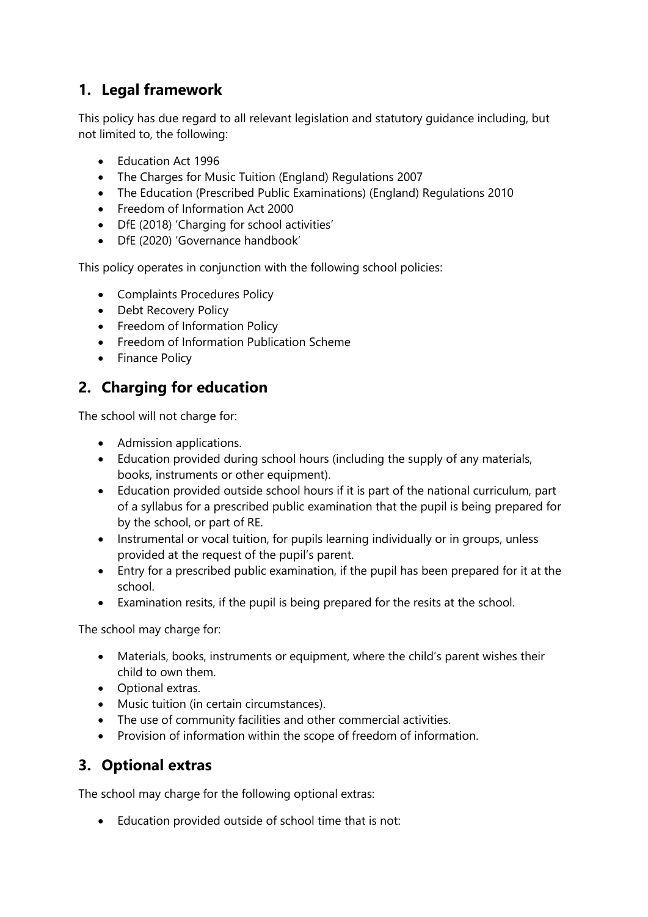### **1. Legal framework**

This policy has due regard to all relevant legislation and statutory guidance including, but not limited to, the following:

- Education Act 1996
- The Charges for Music Tuition (England) Regulations 2007
- The Education (Prescribed Public Examinations) (England) Regulations 2010
- Freedom of Information Act 2000
- DfE (2018) 'Charging for school activities'
- DfE (2020) 'Governance handbook'

This policy operates in conjunction with the following school policies:

- Complaints Procedures Policy
- Debt Recovery Policy
- Freedom of Information Policy
- Freedom of Information Publication Scheme
- Finance Policy

### **2. Charging for education**

The school will not charge for:

- Admission applications.
- Education provided during school hours (including the supply of any materials, books, instruments or other equipment).
- Education provided outside school hours if it is part of the national curriculum, part of a syllabus for a prescribed public examination that the pupil is being prepared for by the school, or part of RE.
- Instrumental or vocal tuition, for pupils learning individually or in groups, unless provided at the request of the pupil's parent.
- Entry for a prescribed public examination, if the pupil has been prepared for it at the school.
- Examination resits, if the pupil is being prepared for the resits at the school.

The school may charge for:

- Materials, books, instruments or equipment, where the child's parent wishes their child to own them.
- Optional extras.
- Music tuition (in certain circumstances).
- The use of community facilities and other commercial activities.
- Provision of information within the scope of freedom of information.

### **3. Optional extras**

The school may charge for the following optional extras:

• Education provided outside of school time that is not: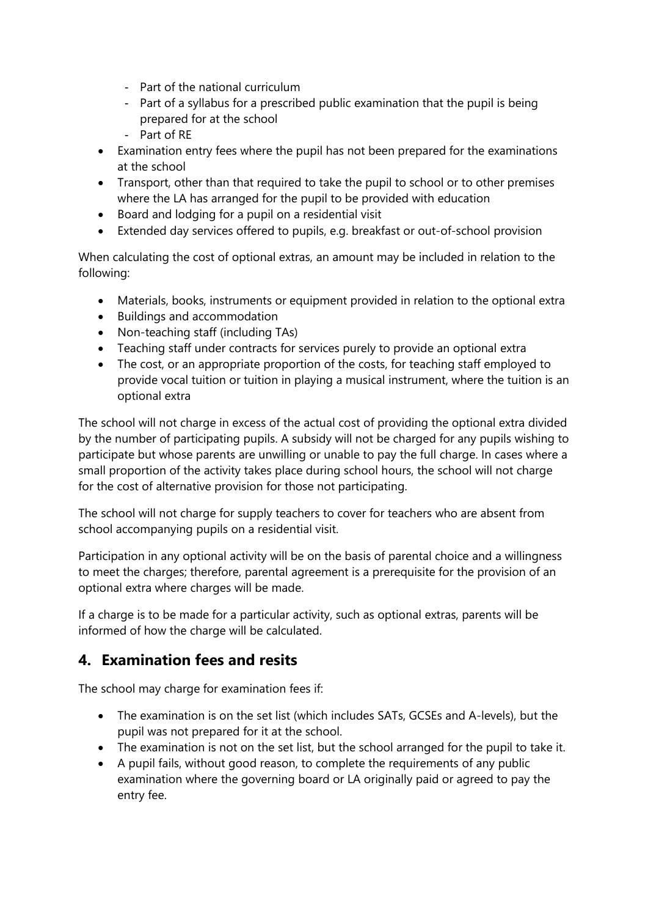- Part of the national curriculum
- Part of a syllabus for a prescribed public examination that the pupil is being prepared for at the school
- Part of RE
- Examination entry fees where the pupil has not been prepared for the examinations at the school
- Transport, other than that required to take the pupil to school or to other premises where the LA has arranged for the pupil to be provided with education
- Board and lodging for a pupil on a residential visit
- Extended day services offered to pupils, e.g. breakfast or out-of-school provision

When calculating the cost of optional extras, an amount may be included in relation to the following:

- Materials, books, instruments or equipment provided in relation to the optional extra
- Buildings and accommodation
- Non-teaching staff (including TAs)
- Teaching staff under contracts for services purely to provide an optional extra
- The cost, or an appropriate proportion of the costs, for teaching staff employed to provide vocal tuition or tuition in playing a musical instrument, where the tuition is an optional extra

The school will not charge in excess of the actual cost of providing the optional extra divided by the number of participating pupils. A subsidy will not be charged for any pupils wishing to participate but whose parents are unwilling or unable to pay the full charge. In cases where a small proportion of the activity takes place during school hours, the school will not charge for the cost of alternative provision for those not participating.

The school will not charge for supply teachers to cover for teachers who are absent from school accompanying pupils on a residential visit.

Participation in any optional activity will be on the basis of parental choice and a willingness to meet the charges; therefore, parental agreement is a prerequisite for the provision of an optional extra where charges will be made.

If a charge is to be made for a particular activity, such as optional extras, parents will be informed of how the charge will be calculated.

### **4. Examination fees and resits**

The school may charge for examination fees if:

- The examination is on the set list (which includes SATs, GCSEs and A-levels), but the pupil was not prepared for it at the school.
- The examination is not on the set list, but the school arranged for the pupil to take it.
- A pupil fails, without good reason, to complete the requirements of any public examination where the governing board or LA originally paid or agreed to pay the entry fee.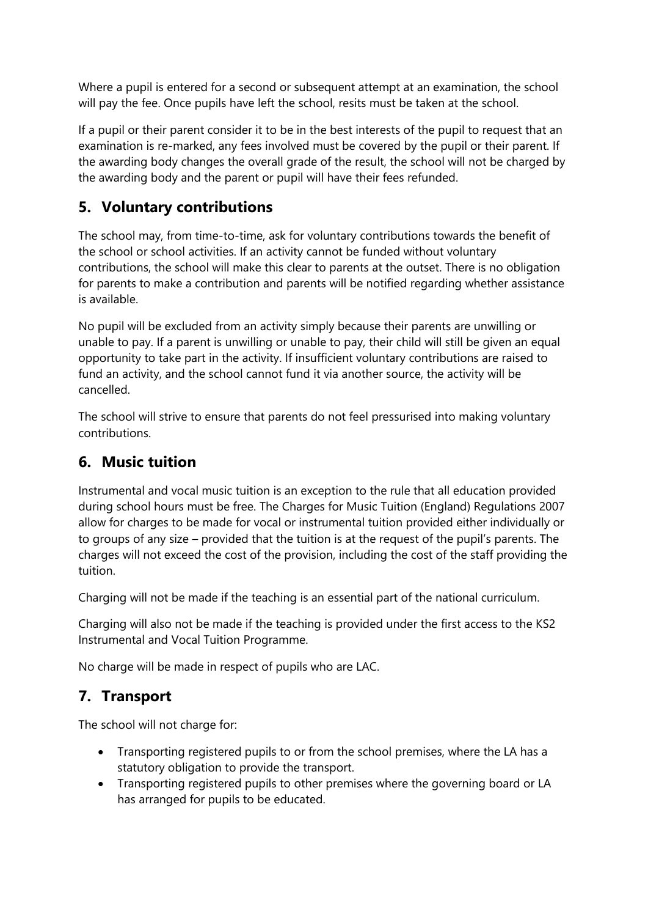Where a pupil is entered for a second or subsequent attempt at an examination, the school will pay the fee. Once pupils have left the school, resits must be taken at the school.

If a pupil or their parent consider it to be in the best interests of the pupil to request that an examination is re-marked, any fees involved must be covered by the pupil or their parent. If the awarding body changes the overall grade of the result, the school will not be charged by the awarding body and the parent or pupil will have their fees refunded.

### **5. Voluntary contributions**

The school may, from time-to-time, ask for voluntary contributions towards the benefit of the school or school activities. If an activity cannot be funded without voluntary contributions, the school will make this clear to parents at the outset. There is no obligation for parents to make a contribution and parents will be notified regarding whether assistance is available.

No pupil will be excluded from an activity simply because their parents are unwilling or unable to pay. If a parent is unwilling or unable to pay, their child will still be given an equal opportunity to take part in the activity. If insufficient voluntary contributions are raised to fund an activity, and the school cannot fund it via another source, the activity will be cancelled.

The school will strive to ensure that parents do not feel pressurised into making voluntary contributions.

### **6. Music tuition**

Instrumental and vocal music tuition is an exception to the rule that all education provided during school hours must be free. The Charges for Music Tuition (England) Regulations 2007 allow for charges to be made for vocal or instrumental tuition provided either individually or to groups of any size – provided that the tuition is at the request of the pupil's parents. The charges will not exceed the cost of the provision, including the cost of the staff providing the tuition.

Charging will not be made if the teaching is an essential part of the national curriculum.

Charging will also not be made if the teaching is provided under the first access to the KS2 Instrumental and Vocal Tuition Programme.

No charge will be made in respect of pupils who are LAC.

### **7. Transport**

The school will not charge for:

- Transporting registered pupils to or from the school premises, where the LA has a statutory obligation to provide the transport.
- Transporting registered pupils to other premises where the governing board or LA has arranged for pupils to be educated.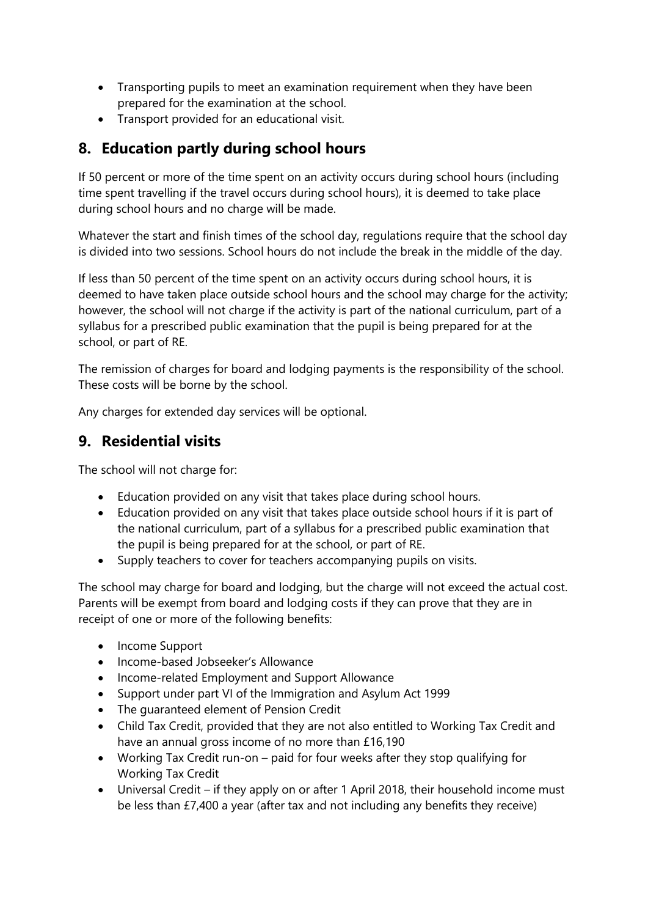- Transporting pupils to meet an examination requirement when they have been prepared for the examination at the school.
- Transport provided for an educational visit.

## **8. Education partly during school hours**

If 50 percent or more of the time spent on an activity occurs during school hours (including time spent travelling if the travel occurs during school hours), it is deemed to take place during school hours and no charge will be made.

Whatever the start and finish times of the school day, regulations require that the school day is divided into two sessions. School hours do not include the break in the middle of the day.

If less than 50 percent of the time spent on an activity occurs during school hours, it is deemed to have taken place outside school hours and the school may charge for the activity; however, the school will not charge if the activity is part of the national curriculum, part of a syllabus for a prescribed public examination that the pupil is being prepared for at the school, or part of RE.

The remission of charges for board and lodging payments is the responsibility of the school. These costs will be borne by the school.

Any charges for extended day services will be optional.

### **9. Residential visits**

The school will not charge for:

- Education provided on any visit that takes place during school hours.
- Education provided on any visit that takes place outside school hours if it is part of the national curriculum, part of a syllabus for a prescribed public examination that the pupil is being prepared for at the school, or part of RE.
- Supply teachers to cover for teachers accompanying pupils on visits.

The school may charge for board and lodging, but the charge will not exceed the actual cost. Parents will be exempt from board and lodging costs if they can prove that they are in receipt of one or more of the following benefits:

- Income Support
- Income-based Jobseeker's Allowance
- Income-related Employment and Support Allowance
- Support under part VI of the Immigration and Asylum Act 1999
- The guaranteed element of Pension Credit
- Child Tax Credit, provided that they are not also entitled to Working Tax Credit and have an annual gross income of no more than £16,190
- Working Tax Credit run-on paid for four weeks after they stop qualifying for Working Tax Credit
- Universal Credit if they apply on or after 1 April 2018, their household income must be less than £7,400 a year (after tax and not including any benefits they receive)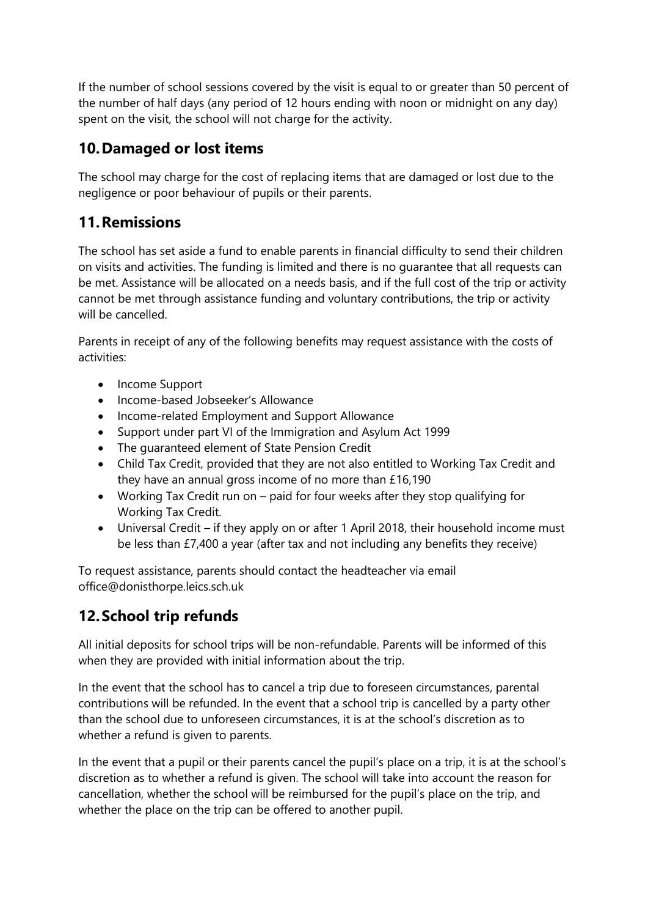If the number of school sessions covered by the visit is equal to or greater than 50 percent of the number of half days (any period of 12 hours ending with noon or midnight on any day) spent on the visit, the school will not charge for the activity.

### **10.Damaged or lost items**

The school may charge for the cost of replacing items that are damaged or lost due to the negligence or poor behaviour of pupils or their parents.

#### **11.Remissions**

The school has set aside a fund to enable parents in financial difficulty to send their children on visits and activities. The funding is limited and there is no guarantee that all requests can be met. Assistance will be allocated on a needs basis, and if the full cost of the trip or activity cannot be met through assistance funding and voluntary contributions, the trip or activity will be cancelled.

Parents in receipt of any of the following benefits may request assistance with the costs of activities:

- Income Support
- Income-based Jobseeker's Allowance
- Income-related Employment and Support Allowance
- Support under part VI of the Immigration and Asylum Act 1999
- The guaranteed element of State Pension Credit
- Child Tax Credit, provided that they are not also entitled to Working Tax Credit and they have an annual gross income of no more than £16,190
- Working Tax Credit run on paid for four weeks after they stop qualifying for Working Tax Credit.
- Universal Credit if they apply on or after 1 April 2018, their household income must be less than £7,400 a year (after tax and not including any benefits they receive)

To request assistance, parents should contact the headteacher via email office@donisthorpe.leics.sch.uk

# **12.School trip refunds**

All initial deposits for school trips will be non-refundable. Parents will be informed of this when they are provided with initial information about the trip.

In the event that the school has to cancel a trip due to foreseen circumstances, parental contributions will be refunded. In the event that a school trip is cancelled by a party other than the school due to unforeseen circumstances, it is at the school's discretion as to whether a refund is given to parents.

In the event that a pupil or their parents cancel the pupil's place on a trip, it is at the school's discretion as to whether a refund is given. The school will take into account the reason for cancellation, whether the school will be reimbursed for the pupil's place on the trip, and whether the place on the trip can be offered to another pupil.